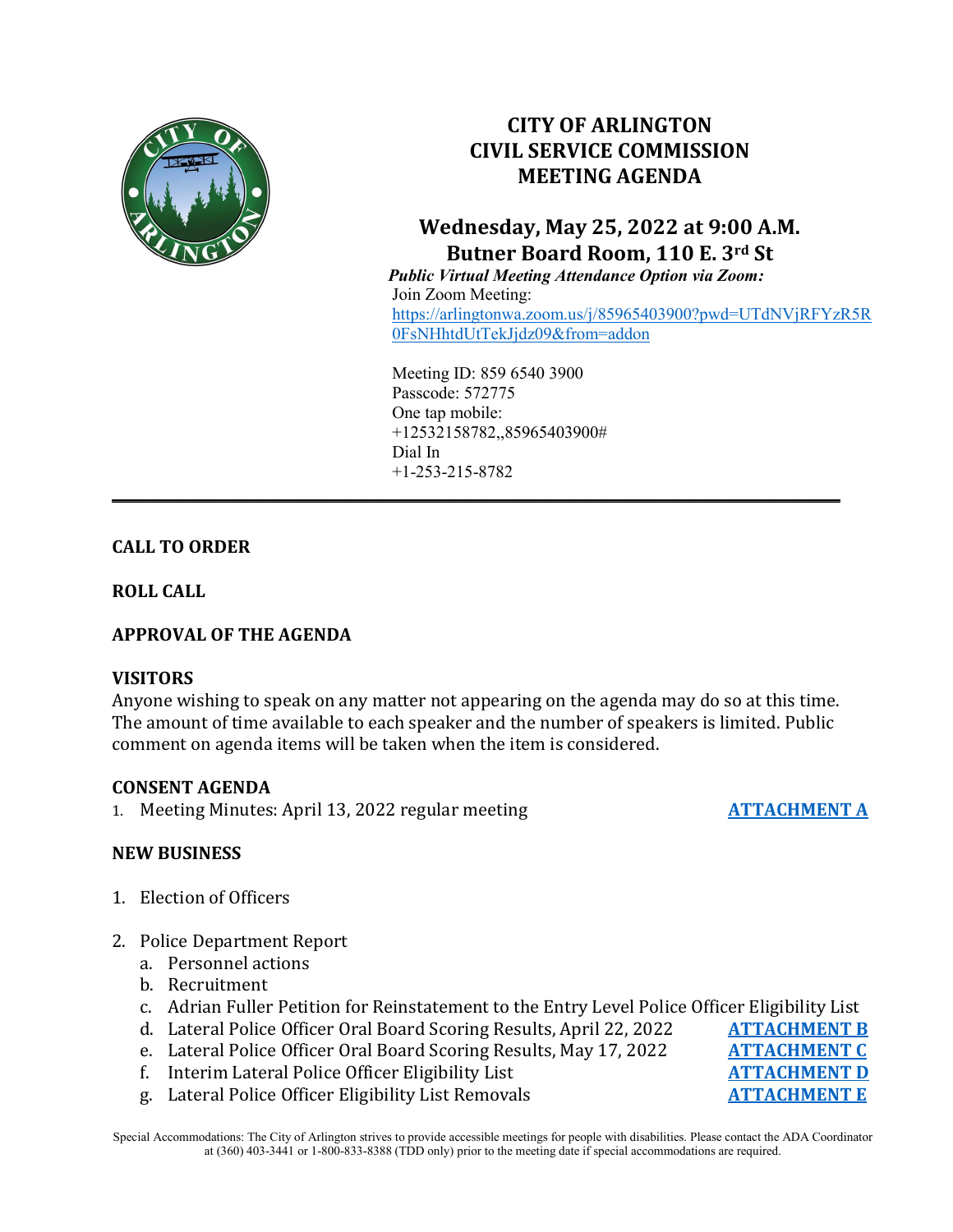

# **CITY OF ARLINGTON CIVIL SERVICE COMMISSION MEETING AGENDA**

# **Wednesday, May 25, 2022 at 9:00 A.M. Butner Board Room, 110 E. 3rd St**

 *Public Virtual Meeting Attendance Option via Zoom:* Join Zoom Meeting: [https://arlingtonwa.zoom.us/j/85965403900?pwd=UTdNVjRFYzR5R](https://arlingtonwa.zoom.us/j/85965403900?pwd=UTdNVjRFYzR5R0FsNHhtdUtTekJjdz09&from=addon) [0FsNHhtdUtTekJjdz09&from=addon](https://arlingtonwa.zoom.us/j/85965403900?pwd=UTdNVjRFYzR5R0FsNHhtdUtTekJjdz09&from=addon)

Meeting ID: 859 6540 3900 Passcode: 572775 One tap mobile: +12532158782,,85965403900# Dial In +1-253-215-8782

**\_\_\_\_\_\_\_\_\_\_\_\_\_\_\_\_\_\_\_\_\_\_\_\_\_\_\_\_\_\_\_\_\_\_\_\_\_\_\_\_\_\_\_\_\_\_\_\_\_\_\_\_\_\_\_\_\_\_\_\_\_\_\_\_\_\_\_\_\_\_\_\_\_\_\_\_\_\_**

# **CALL TO ORDER**

**ROLL CALL**

# **APPROVAL OF THE AGENDA**

### **VISITORS**

Anyone wishing to speak on any matter not appearing on the agenda may do so at this time. The amount of time available to each speaker and the number of speakers is limited. Public comment on agenda items will be taken when the item is considered.

### **CONSENT AGENDA**

1. Meeting Minutes: April 13, 2022 regular meeting **[ATTACHMENT A](https://www.arlingtonwa.gov/DocumentCenter/View/7310/ATTACHMENT-A-4-13-2022-Meeting-Minutes)**

# **NEW BUSINESS**

- 1. Election of Officers
- 2. Police Department Report
	- a. Personnel actions
	- b. Recruitment
	- c. Adrian Fuller Petition for Reinstatement to the Entry Level Police Officer Eligibility List<br>d. Lateral Police Officer Oral Board Scoring Results. April 22. 2022 **ATTACHMENT B**
	- d. Lateral Police Officer Oral Board Scoring Results, April 22, 2022 **[ATTACHMENT B](https://www.arlingtonwa.gov/DocumentCenter/View/7311/ATTACHMENT-B-Oral-Board-Scoring-Results-Lateral-Police-Officer-4-22-2022)**<br>e. Lateral Police Officer Oral Board Scoring Results, May 17, 2022 **ATTACHMENT C**
	- e. Lateral Police Officer Oral Board Scoring Results, May 17, 2022 **[ATTACHMENT C](https://www.arlingtonwa.gov/DocumentCenter/View/7312/ATTACHMENT-C-Oral-Board-Scoring-Results-Lateral-Police-Officer-5-11-2022)**<br>f. Interim Lateral Police Officer Eligibility List **ATTACHMENT D**
	- f. Interim Lateral Police Officer Eligibility List **[ATTACHMENT D](https://www.arlingtonwa.gov/DocumentCenter/View/7313/ATTACHMENT-D-Lateral-Police-Officer-Interim-Eligibility-List---5-18-2022)**<br>g. Lateral Police Officer Eligibility List Removals **ATTACHMENT E**
	- g. Lateral Police Officer Eligibility List Removals

Special Accommodations: The City of Arlington strives to provide accessible meetings for people with disabilities. Please contact the ADA Coordinator at (360) 403-3441 or 1-800-833-8388 (TDD only) prior to the meeting date if special accommodations are required.